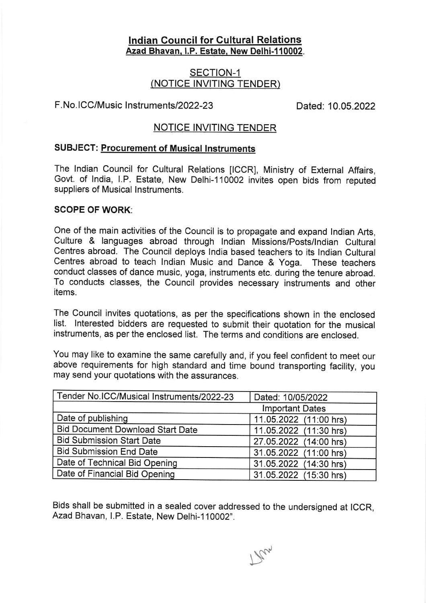### lndian Council for Gultural Relations Azad Bhavan, I.P. Estate, New Delhi-110002.

## SECTION-1 (NOTICE INVITING TENDER)

### F.No.ICC/Music Instruments/2022-23

Dated: 10.05.2022

### NOTICE INVITING TENDER

#### SUBJECT: Procurement of Musical Instruments

The lndian Council for Cultural Relations [ICCR], Ministry of External Affairs, Govt. of India, I.P. Estate, New Delhi-110002 invites open bids from reputed suppliers of Musical lnstruments.

#### SCOPE OF WORK:

One of the main activities of the Council is to propagate and expand lndian Arts, Culture & languages abroad through lndian Missions/posts/lndian Cultural Centres abroad. The Council deploys lndia based teachers to its lndian Cultural Centres abroad to teach lndian Music and Dance & Yoga. These teachers conduct classes of dance music, yoga, instruments etc. during the tenure abroad. To conducts classes, the Council provides necessary instruments and other items.

The Council invites quotations, as per the specifications shown in the enclosed list. lnterested bidders are requested to submit their quotation for the musical instruments, as per the enclosed list. The terms and conditions are enclosed.

You may like to examine the same carefully and, if you feel confident to meet our above requirements for high standard and time bound transporting facility, you may send your quotations with the assurances.

| Tender No.ICC/Musical Instruments/2022-23 | Dated: 10/05/2022      |
|-------------------------------------------|------------------------|
|                                           | <b>Important Dates</b> |
| Date of publishing                        | 11.05.2022 (11:00 hrs) |
| <b>Bid Document Download Start Date</b>   | 11.05.2022 (11:30 hrs) |
| <b>Bid Submission Start Date</b>          | 27.05.2022 (14:00 hrs) |
| <b>Bid Submission End Date</b>            | 31.05.2022 (11:00 hrs) |
| Date of Technical Bid Opening             | 31.05.2022 (14:30 hrs) |
| Date of Financial Bid Opening             | 31.05.2022 (15:30 hrs) |

Bids shall be submitted in a sealed cover addressed to the undersigned at ICCR, Azad Bhavan, l.P. Estate, New Delhi-1 10002".

 $\mathcal{P}_{\mathcal{U}}$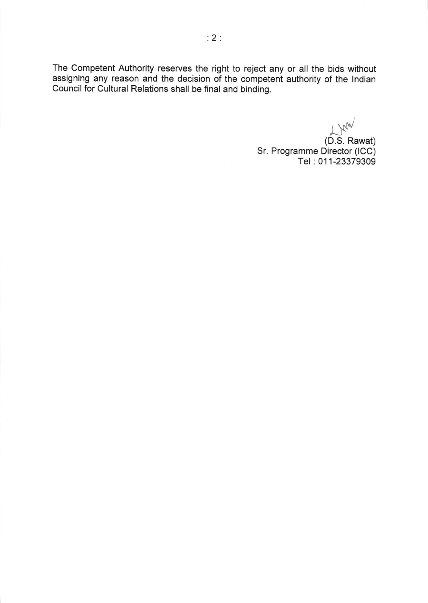The Competent Authority reserves the right to reject any or all the bids without assigning any reason and the decision of the competent authority of the lndian Council for Cultural Relations shall be final and binding.

 $L_{\text{M}_{\text{W}}}$ (D.S. Rawat) Sr. Programme Director (lCC) Tel : 011-23379309